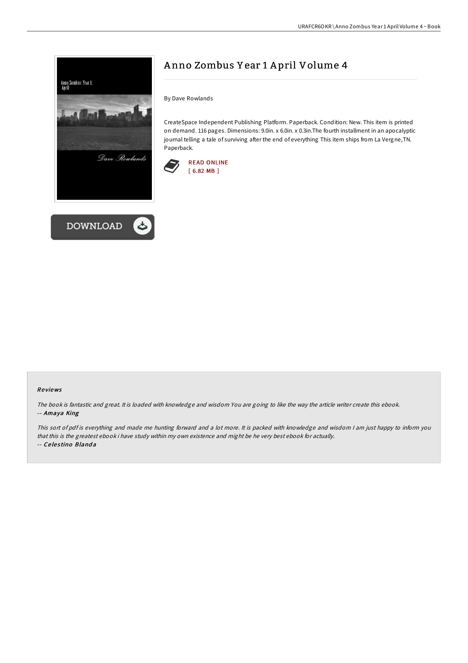



# A nno Zombus Y ear 1 A pril Volume 4

By Dave Rowlands

CreateSpace Independent Publishing Platform. Paperback. Condition: New. This item is printed on demand. 116 pages. Dimensions: 9.0in. x 6.0in. x 0.3in.The fourth installment in an apocalyptic journal telling a tale of surviving after the end of everything This item ships from La Vergne, TN. Paperback.



### Re views

The book is fantastic and great. It is loaded with knowledge and wisdom You are going to like the way the article writer create this ebook. -- Amaya King

This sort of pdf is everything and made me hunting forward and <sup>a</sup> lot more. It is packed with knowledge and wisdom <sup>I</sup> am just happy to inform you that this is the greatest ebook i have study within my own existence and might be he very best ebook for actually. -- Ce le s tino Bland a